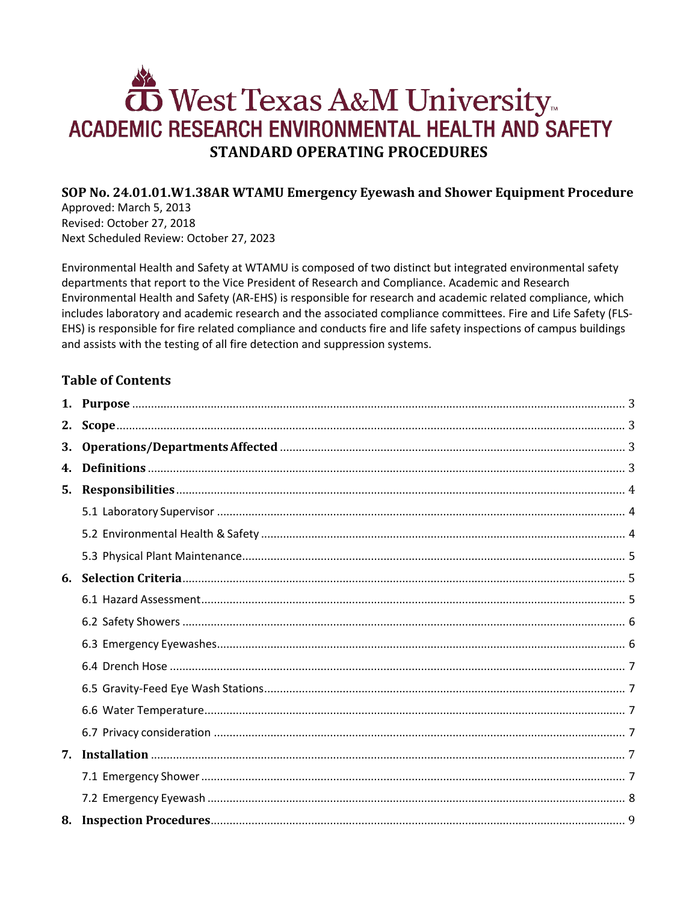# West Texas A&M University ACADEMIC RESEARCH ENVIRONMENTAL HEALTH AND SAFETY **STANDARD OPERATING PROCEDURES**

## SOP No. 24.01.01.W1.38AR WTAMU Emergency Eyewash and Shower Equipment Procedure

Approved: March 5, 2013 Revised: October 27, 2018 Next Scheduled Review: October 27, 2023

Environmental Health and Safety at WTAMU is composed of two distinct but integrated environmental safety departments that report to the Vice President of Research and Compliance. Academic and Research Environmental Health and Safety (AR-EHS) is responsible for research and academic related compliance, which includes laboratory and academic research and the associated compliance committees. Fire and Life Safety (FLS-EHS) is responsible for fire related compliance and conducts fire and life safety inspections of campus buildings and assists with the testing of all fire detection and suppression systems.

## **Table of Contents**

| 4. |  |
|----|--|
|    |  |
|    |  |
|    |  |
|    |  |
|    |  |
|    |  |
|    |  |
|    |  |
|    |  |
|    |  |
|    |  |
|    |  |
|    |  |
|    |  |
|    |  |
|    |  |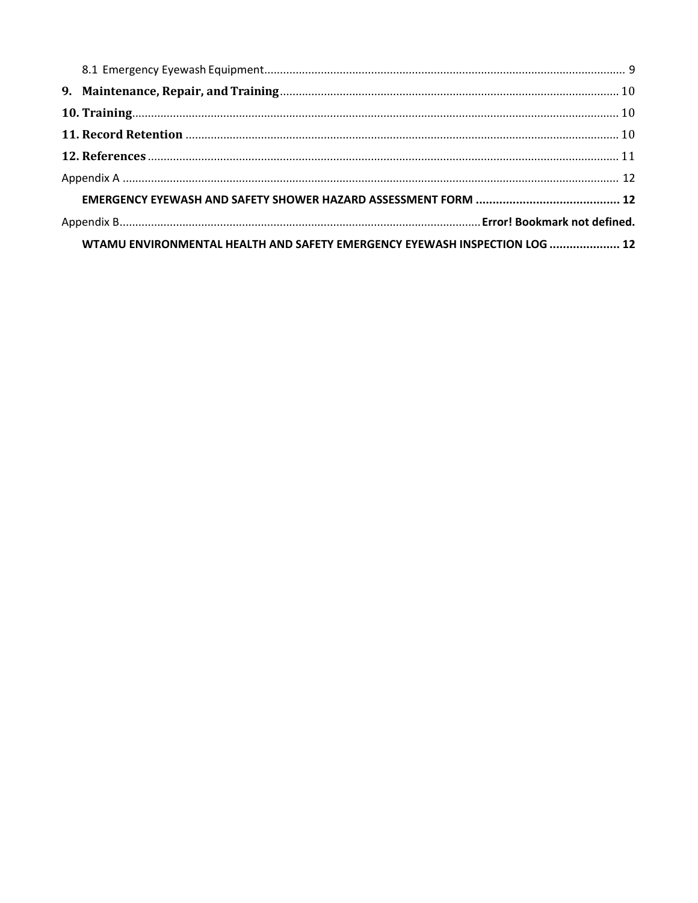| WTAMU ENVIRONMENTAL HEALTH AND SAFETY EMERGENCY EYEWASH INSPECTION LOG  12 |  |  |  |  |  |
|----------------------------------------------------------------------------|--|--|--|--|--|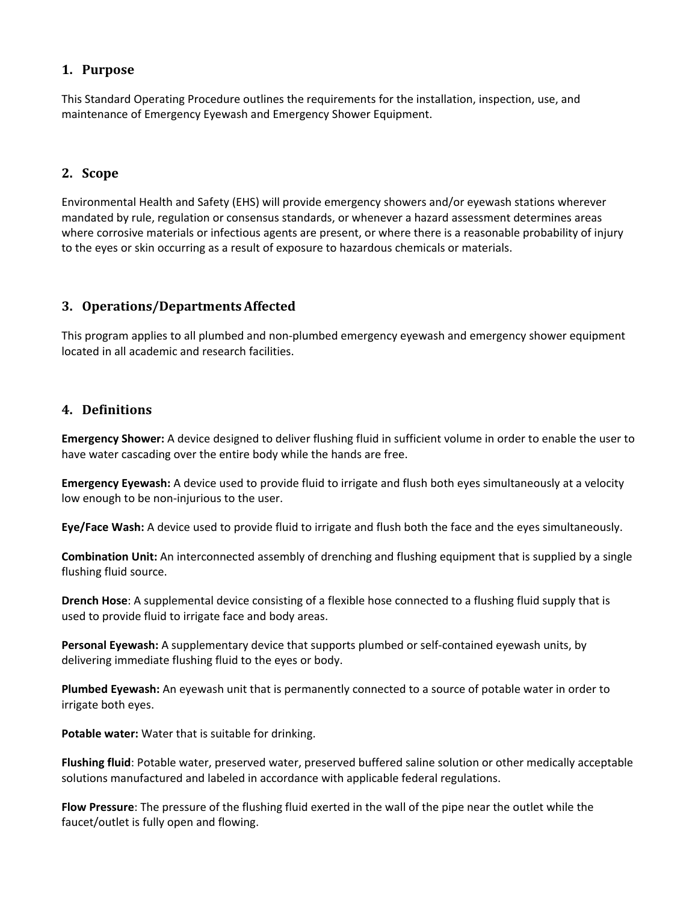## <span id="page-2-0"></span>**1. Purpose**

This Standard Operating Procedure outlines the requirements for the installation, inspection, use, and maintenance of Emergency Eyewash and Emergency Shower Equipment.

## <span id="page-2-1"></span>**2. Scope**

Environmental Health and Safety (EHS) will provide emergency showers and/or eyewash stations wherever mandated by rule, regulation or consensus standards, or whenever a hazard assessment determines areas where corrosive materials or infectious agents are present, or where there is a reasonable probability of injury to the eyes or skin occurring as a result of exposure to hazardous chemicals or materials.

## <span id="page-2-2"></span>**3. Operations/DepartmentsAffected**

This program applies to all plumbed and non-plumbed emergency eyewash and emergency shower equipment located in all academic and research facilities.

## <span id="page-2-3"></span>**4. Definitions**

**Emergency Shower:** A device designed to deliver flushing fluid in sufficient volume in order to enable the user to have water cascading over the entire body while the hands are free.

**Emergency Eyewash:** A device used to provide fluid to irrigate and flush both eyes simultaneously at a velocity low enough to be non-injurious to the user.

**Eye/Face Wash:** A device used to provide fluid to irrigate and flush both the face and the eyes simultaneously.

**Combination Unit:** An interconnected assembly of drenching and flushing equipment that is supplied by a single flushing fluid source.

**Drench Hose**: A supplemental device consisting of a flexible hose connected to a flushing fluid supply that is used to provide fluid to irrigate face and body areas.

**Personal Eyewash:** A supplementary device that supports plumbed or self-contained eyewash units, by delivering immediate flushing fluid to the eyes or body.

**Plumbed Eyewash:** An eyewash unit that is permanently connected to a source of potable water in order to irrigate both eyes.

**Potable water:** Water that is suitable for drinking.

**Flushing fluid**: Potable water, preserved water, preserved buffered saline solution or other medically acceptable solutions manufactured and labeled in accordance with applicable federal regulations.

**Flow Pressure**: The pressure of the flushing fluid exerted in the wall of the pipe near the outlet while the faucet/outlet is fully open and flowing.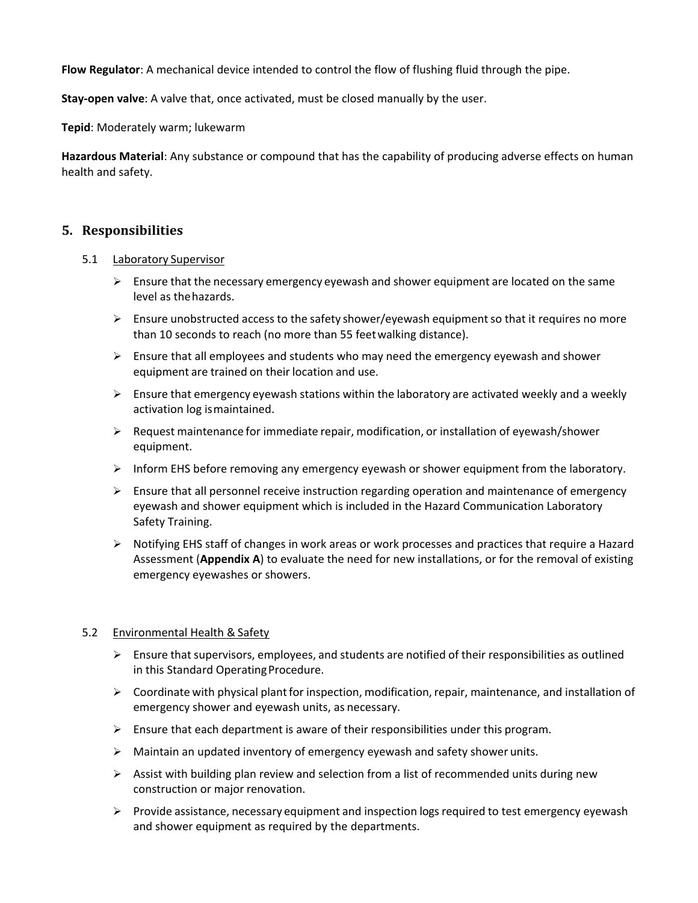**Flow Regulator**: A mechanical device intended to control the flow of flushing fluid through the pipe.

**Stay-open valve**: A valve that, once activated, must be closed manually by the user.

**Tepid**: Moderately warm; lukewarm

**Hazardous Material**: Any substance or compound that has the capability of producing adverse effects on human health and safety.

#### <span id="page-3-0"></span>**5. Responsibilities**

#### <span id="page-3-1"></span>5.1 Laboratory Supervisor

- $\triangleright$  Ensure that the necessary emergency eyewash and shower equipment are located on the same level as thehazards.
- $\triangleright$  Ensure unobstructed access to the safety shower/eyewash equipment so that it requires no more than 10 seconds to reach (no more than 55 feetwalking distance).
- $\triangleright$  Ensure that all employees and students who may need the emergency eyewash and shower equipment are trained on their location and use.
- $\triangleright$  Ensure that emergency eyewash stations within the laboratory are activated weekly and a weekly activation log ismaintained.
- $\triangleright$  Request maintenance for immediate repair, modification, or installation of eyewash/shower equipment.
- $\triangleright$  Inform EHS before removing any emergency eyewash or shower equipment from the laboratory.
- $\triangleright$  Ensure that all personnel receive instruction regarding operation and maintenance of emergency eyewash and shower equipment which is included in the Hazard Communication Laboratory Safety Training.
- $\triangleright$  Notifying EHS staff of changes in work areas or work processes and practices that require a Hazard Assessment (**Appendix A**) to evaluate the need for new installations, or for the removal of existing emergency eyewashes or showers.

#### <span id="page-3-2"></span>5.2 Environmental Health & Safety

- $\triangleright$  Ensure that supervisors, employees, and students are notified of their responsibilities as outlined in this Standard Operating Procedure.
- $\triangleright$  Coordinate with physical plant for inspection, modification, repair, maintenance, and installation of emergency shower and eyewash units, as necessary.
- $\triangleright$  Ensure that each department is aware of their responsibilities under this program.
- Maintain an updated inventory of emergency eyewash and safety shower units.
- $\triangleright$  Assist with building plan review and selection from a list of recommended units during new construction or major renovation.
- $\triangleright$  Provide assistance, necessary equipment and inspection logs required to test emergency eyewash and shower equipment as required by the departments.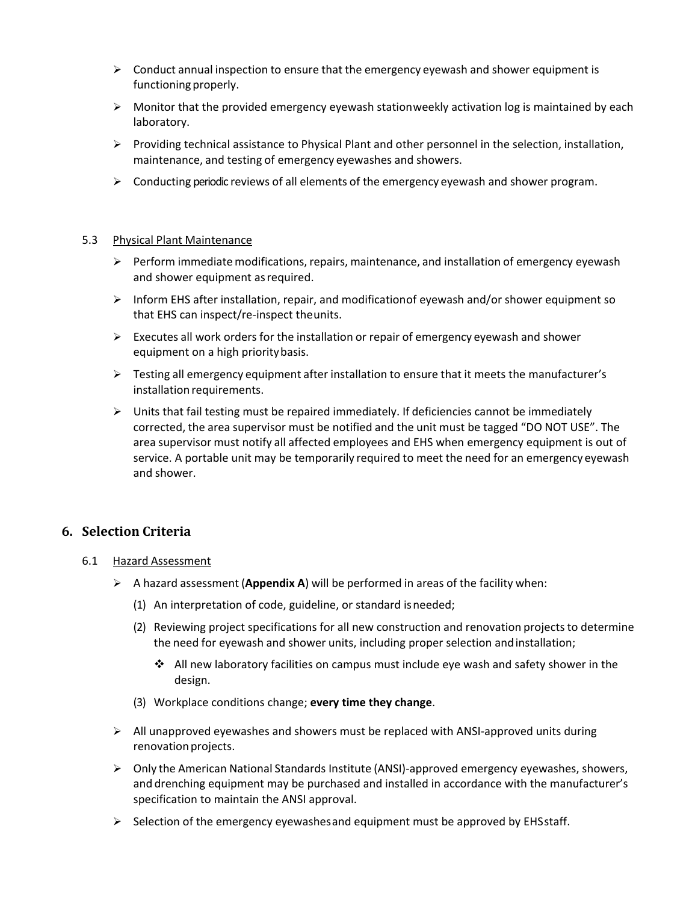- $\triangleright$  Conduct annual inspection to ensure that the emergency eyewash and shower equipment is functioning properly.
- $\triangleright$  Monitor that the provided emergency eyewash stationweekly activation log is maintained by each laboratory.
- $\triangleright$  Providing technical assistance to Physical Plant and other personnel in the selection, installation, maintenance, and testing of emergency eyewashes and showers.
- $\triangleright$  Conducting periodic reviews of all elements of the emergency eyewash and shower program.

#### <span id="page-4-0"></span>5.3 Physical Plant Maintenance

- $\triangleright$  Perform immediate modifications, repairs, maintenance, and installation of emergency eyewash and shower equipment asrequired.
- $\triangleright$  Inform EHS after installation, repair, and modificationof eyewash and/or shower equipment so that EHS can inspect/re-inspect theunits.
- $\triangleright$  Executes all work orders for the installation or repair of emergency eyewash and shower equipment on a high prioritybasis.
- $\triangleright$  Testing all emergency equipment after installation to ensure that it meets the manufacturer's installation requirements.
- $\triangleright$  Units that fail testing must be repaired immediately. If deficiencies cannot be immediately corrected, the area supervisor must be notified and the unit must be tagged "DO NOT USE". The area supervisor must notify all affected employees and EHS when emergency equipment is out of service. A portable unit may be temporarily required to meet the need for an emergency eyewash and shower.

## <span id="page-4-1"></span>**6. Selection Criteria**

- <span id="page-4-2"></span>6.1 Hazard Assessment
	- A hazard assessment (**Appendix A**) will be performed in areas of the facility when:
		- (1) An interpretation of code, guideline, or standard isneeded;
		- (2) Reviewing project specifications for all new construction and renovation projects to determine the need for eyewash and shower units, including proper selection andinstallation;
			- $\cdot$  All new laboratory facilities on campus must include eye wash and safety shower in the design.
		- (3) Workplace conditions change; **every time they change**.
	- $\triangleright$  All unapproved eyewashes and showers must be replaced with ANSI-approved units during renovation projects.
	- Only the American National Standards Institute (ANSI)-approved emergency eyewashes, showers, and drenching equipment may be purchased and installed in accordance with the manufacturer's specification to maintain the ANSI approval.
	- $\triangleright$  Selection of the emergency eyewashes and equipment must be approved by EHSstaff.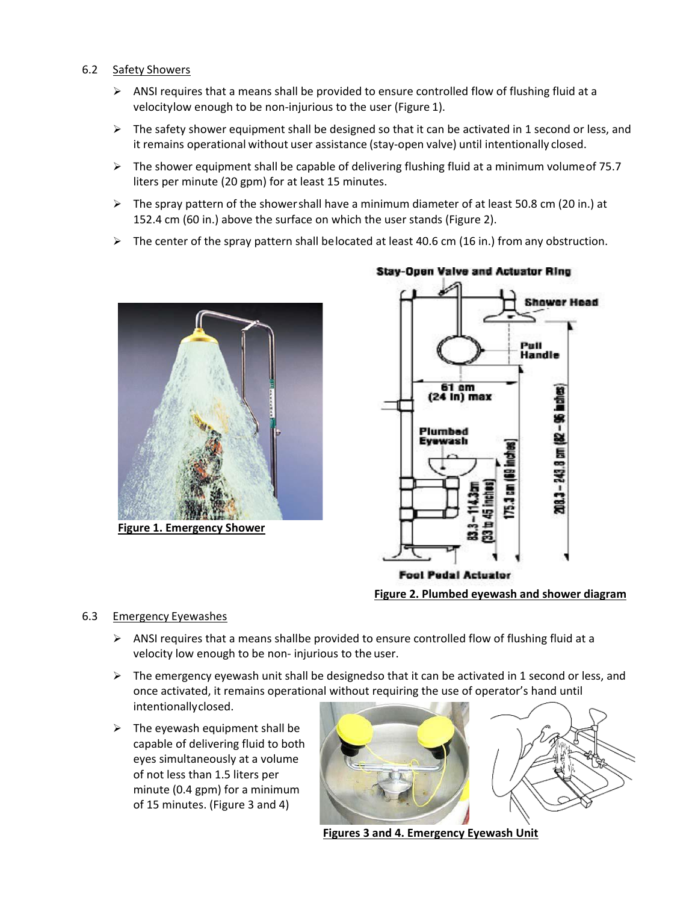#### <span id="page-5-0"></span>6.2 Safety Showers

- $\triangleright$  ANSI requires that a means shall be provided to ensure controlled flow of flushing fluid at a velocitylow enough to be non-injurious to the user (Figure 1).
- $\triangleright$  The safety shower equipment shall be designed so that it can be activated in 1 second or less, and it remains operational without user assistance (stay-open valve) until intentionally closed.
- $\triangleright$  The shower equipment shall be capable of delivering flushing fluid at a minimum volume of 75.7 liters per minute (20 gpm) for at least 15 minutes.
- $\triangleright$  The spray pattern of the showershall have a minimum diameter of at least 50.8 cm (20 in.) at 152.4 cm (60 in.) above the surface on which the user stands (Figure 2).
- $\triangleright$  The center of the spray pattern shall belocated at least 40.6 cm (16 in.) from any obstruction.



**Figure 1. Emergency Shower**



## **Stav-Open Valve and Actuator Ring**

**Figure 2. Plumbed eyewash and shower diagram**

## <span id="page-5-1"></span>6.3 Emergency Eyewashes

- $\triangleright$  ANSI requires that a means shallbe provided to ensure controlled flow of flushing fluid at a velocity low enough to be non- injurious to the user.
- $\triangleright$  The emergency eyewash unit shall be designedso that it can be activated in 1 second or less, and once activated, it remains operational without requiring the use of operator's hand until intentionallyclosed.
- $\triangleright$  The eyewash equipment shall be capable of delivering fluid to both eyes simultaneously at a volume of not less than 1.5 liters per minute (0.4 gpm) for a minimum of 15 minutes. (Figure 3 and 4)



**Figures 3 and 4. Emergency Eyewash Unit**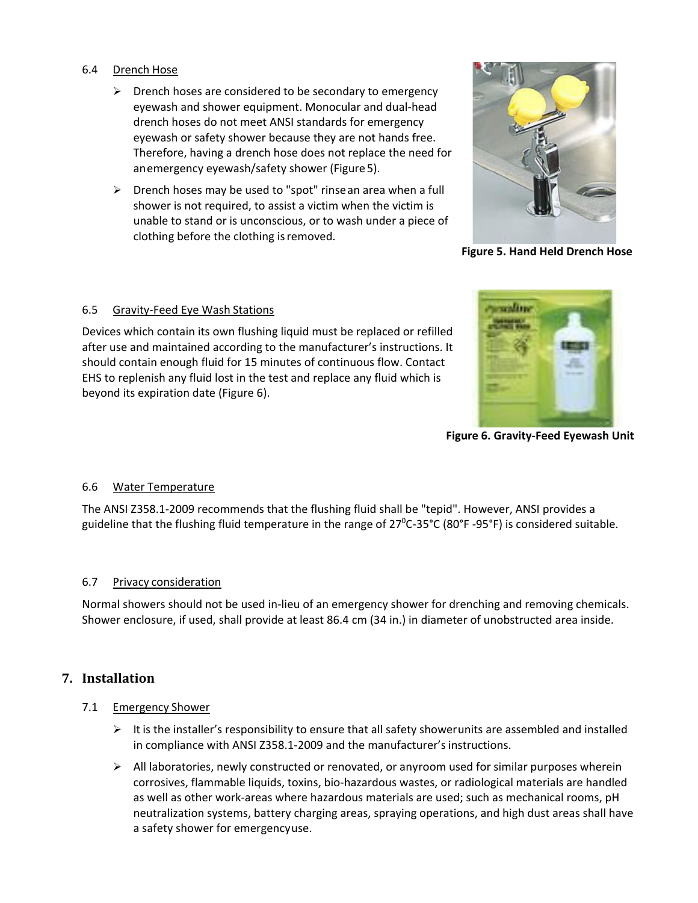#### <span id="page-6-0"></span>6.4 Drench Hose

- $\triangleright$  Drench hoses are considered to be secondary to emergency eyewash and shower equipment. Monocular and dual-head drench hoses do not meet ANSI standards for emergency eyewash or safety shower because they are not hands free. Therefore, having a drench hose does not replace the need for anemergency eyewash/safety shower (Figure5).
- $\triangleright$  Drench hoses may be used to "spot" rinse an area when a full shower is not required, to assist a victim when the victim is unable to stand or is unconscious, or to wash under a piece of clothing before the clothing isremoved.



**Figure 5. Hand Held Drench Hose**

#### <span id="page-6-1"></span>6.5 Gravity-Feed Eye Wash Stations

Devices which contain its own flushing liquid must be replaced or refilled after use and maintained according to the manufacturer's instructions. It should contain enough fluid for 15 minutes of continuous flow. Contact EHS to replenish any fluid lost in the test and replace any fluid which is beyond its expiration date (Figure 6).



**Figure 6. Gravity-Feed Eyewash Unit**

#### <span id="page-6-2"></span>6.6 Water Temperature

The ANSI Z358.1-2009 recommends that the flushing fluid shall be "tepid". However, ANSI provides a guideline that the flushing fluid temperature in the range of 27<sup>0</sup>C-35°C (80°F -95°F) is considered suitable.

#### <span id="page-6-3"></span>6.7 Privacy consideration

Normal showers should not be used in-lieu of an emergency shower for drenching and removing chemicals. Shower enclosure, if used, shall provide at least 86.4 cm (34 in.) in diameter of unobstructed area inside.

## <span id="page-6-4"></span>**7. Installation**

#### <span id="page-6-5"></span>7.1 Emergency Shower

- $\triangleright$  It is the installer's responsibility to ensure that all safety showerunits are assembled and installed in compliance with ANSI Z358.1-2009 and the manufacturer's instructions.
- $\triangleright$  All laboratories, newly constructed or renovated, or anyroom used for similar purposes wherein corrosives, flammable liquids, toxins, bio-hazardous wastes, or radiological materials are handled as well as other work-areas where hazardous materials are used; such as mechanical rooms, pH neutralization systems, battery charging areas, spraying operations, and high dust areas shall have a safety shower for emergencyuse.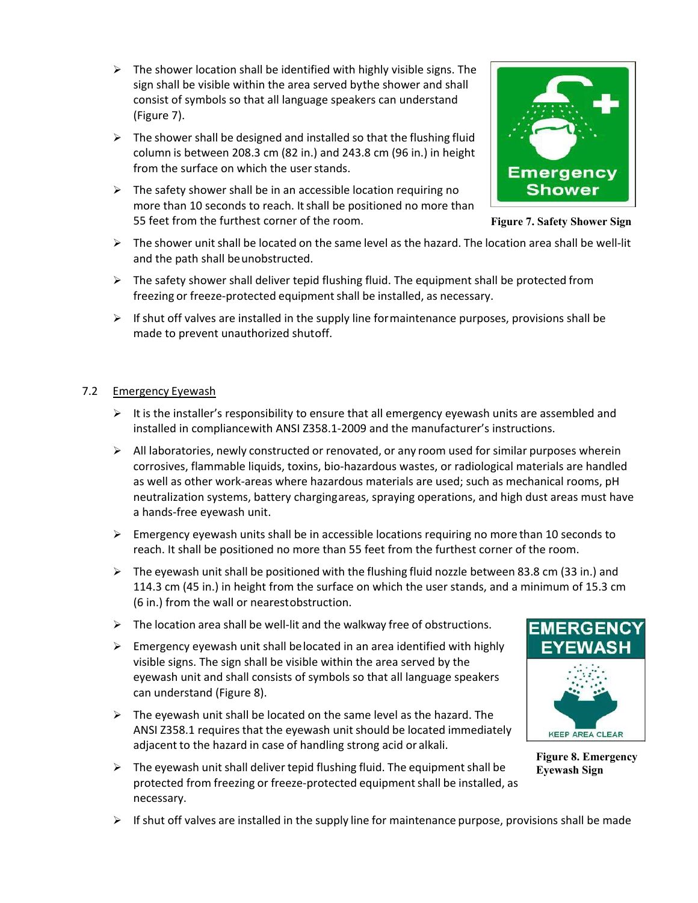- $\triangleright$  The shower location shall be identified with highly visible signs. The sign shall be visible within the area served bythe shower and shall consist of symbols so that all language speakers can understand (Figure 7).
- $\triangleright$  The shower shall be designed and installed so that the flushing fluid column is between 208.3 cm (82 in.) and 243.8 cm (96 in.) in height from the surface on which the user stands.
- $\triangleright$  The safety shower shall be in an accessible location requiring no more than 10 seconds to reach. It shall be positioned no more than 55 feet from the furthest corner of the room.



**Figure 7. Safety Shower Sign**

- $\triangleright$  The shower unit shall be located on the same level as the hazard. The location area shall be well-lit and the path shall beunobstructed.
- $\triangleright$  The safety shower shall deliver tepid flushing fluid. The equipment shall be protected from freezing or freeze-protected equipment shall be installed, as necessary.
- $\triangleright$  If shut off valves are installed in the supply line formaintenance purposes, provisions shall be made to prevent unauthorized shutoff.

#### <span id="page-7-0"></span>7.2 Emergency Eyewash

- $\triangleright$  It is the installer's responsibility to ensure that all emergency eyewash units are assembled and installed in compliancewith ANSI Z358.1-2009 and the manufacturer's instructions.
- $\triangleright$  All laboratories, newly constructed or renovated, or any room used for similar purposes wherein corrosives, flammable liquids, toxins, bio-hazardous wastes, or radiological materials are handled as well as other work-areas where hazardous materials are used; such as mechanical rooms, pH neutralization systems, battery chargingareas, spraying operations, and high dust areas must have a hands-free eyewash unit.
- $\triangleright$  Emergency eyewash units shall be in accessible locations requiring no more than 10 seconds to reach. It shall be positioned no more than 55 feet from the furthest corner of the room.
- $\triangleright$  The eyewash unit shall be positioned with the flushing fluid nozzle between 83.8 cm (33 in.) and 114.3 cm (45 in.) in height from the surface on which the user stands, and a minimum of 15.3 cm (6 in.) from the wall or nearestobstruction.
- $\triangleright$  The location area shall be well-lit and the walkway free of obstructions.
- $\triangleright$  Emergency eyewash unit shall belocated in an area identified with highly visible signs. The sign shall be visible within the area served by the eyewash unit and shall consists of symbols so that all language speakers can understand (Figure 8).
- $\triangleright$  The eyewash unit shall be located on the same level as the hazard. The ANSI Z358.1 requires that the eyewash unit should be located immediately adjacent to the hazard in case of handling strong acid or alkali.
- $\triangleright$  The eyewash unit shall deliver tepid flushing fluid. The equipment shall be protected from freezing or freeze-protected equipment shall be installed, as necessary.



**Figure 8. Emergency Eyewash Sign**

 $\triangleright$  If shut off valves are installed in the supply line for maintenance purpose, provisions shall be made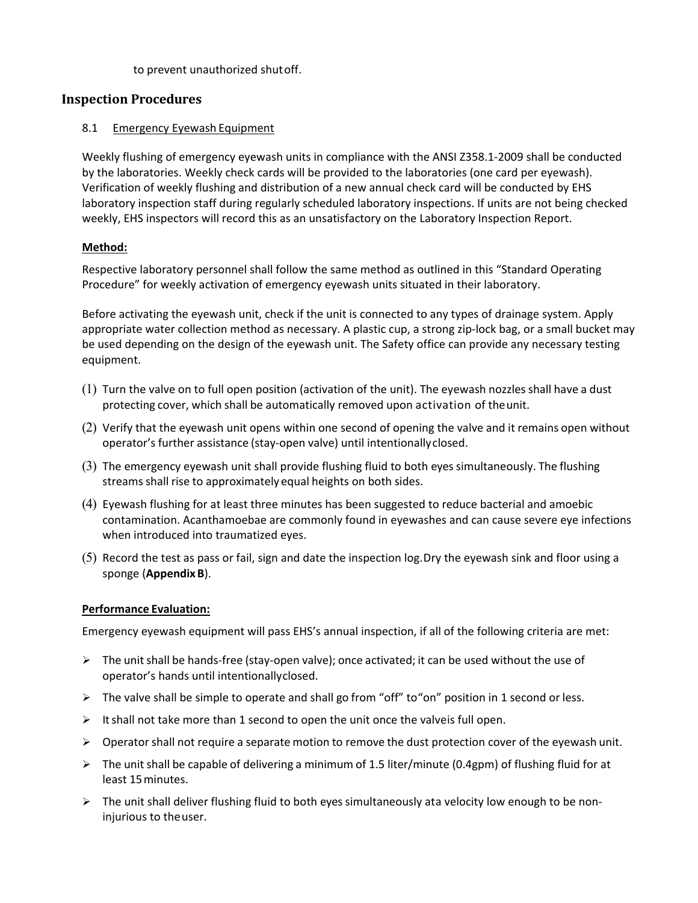to prevent unauthorized shutoff.

## <span id="page-8-0"></span>**Inspection Procedures**

#### <span id="page-8-1"></span>8.1 Emergency Eyewash Equipment

Weekly flushing of emergency eyewash units in compliance with the ANSI Z358.1-2009 shall be conducted by the laboratories. Weekly check cards will be provided to the laboratories (one card per eyewash). Verification of weekly flushing and distribution of a new annual check card will be conducted by EHS laboratory inspection staff during regularly scheduled laboratory inspections. If units are not being checked weekly, EHS inspectors will record this as an unsatisfactory on the Laboratory Inspection Report.

#### **Method:**

Respective laboratory personnel shall follow the same method as outlined in this "Standard Operating Procedure" for weekly activation of emergency eyewash units situated in their laboratory.

Before activating the eyewash unit, check if the unit is connected to any types of drainage system. Apply appropriate water collection method as necessary. A plastic cup, a strong zip-lock bag, or a small bucket may be used depending on the design of the eyewash unit. The Safety office can provide any necessary testing equipment.

- (1) Turn the valve on to full open position (activation of the unit). The eyewash nozzlesshall have a dust protecting cover, which shall be automatically removed upon activation of theunit.
- (2) Verify that the eyewash unit opens within one second of opening the valve and it remains open without operator's further assistance (stay-open valve) until intentionallyclosed.
- (3) The emergency eyewash unit shall provide flushing fluid to both eyes simultaneously. The flushing streams shall rise to approximately equal heights on both sides.
- (4) Eyewash flushing for at least three minutes has been suggested to reduce bacterial and amoebic contamination. Acanthamoebae are commonly found in eyewashes and can cause severe eye infections when introduced into traumatized eyes.
- (5) Record the test as pass or fail, sign and date the inspection log.Dry the eyewash sink and floor using a sponge (**AppendixB**).

#### **Performance Evaluation:**

Emergency eyewash equipment will pass EHS's annual inspection, if all of the following criteria are met:

- $\triangleright$  The unit shall be hands-free (stay-open valve); once activated; it can be used without the use of operator's hands until intentionallyclosed.
- $\triangleright$  The valve shall be simple to operate and shall go from "off" to "on" position in 1 second or less.
- $\triangleright$  It shall not take more than 1 second to open the unit once the valveis full open.
- $\triangleright$  Operator shall not require a separate motion to remove the dust protection cover of the eyewash unit.
- $\triangleright$  The unit shall be capable of delivering a minimum of 1.5 liter/minute (0.4gpm) of flushing fluid for at least 15minutes.
- $\triangleright$  The unit shall deliver flushing fluid to both eyes simultaneously ata velocity low enough to be noninjurious to theuser.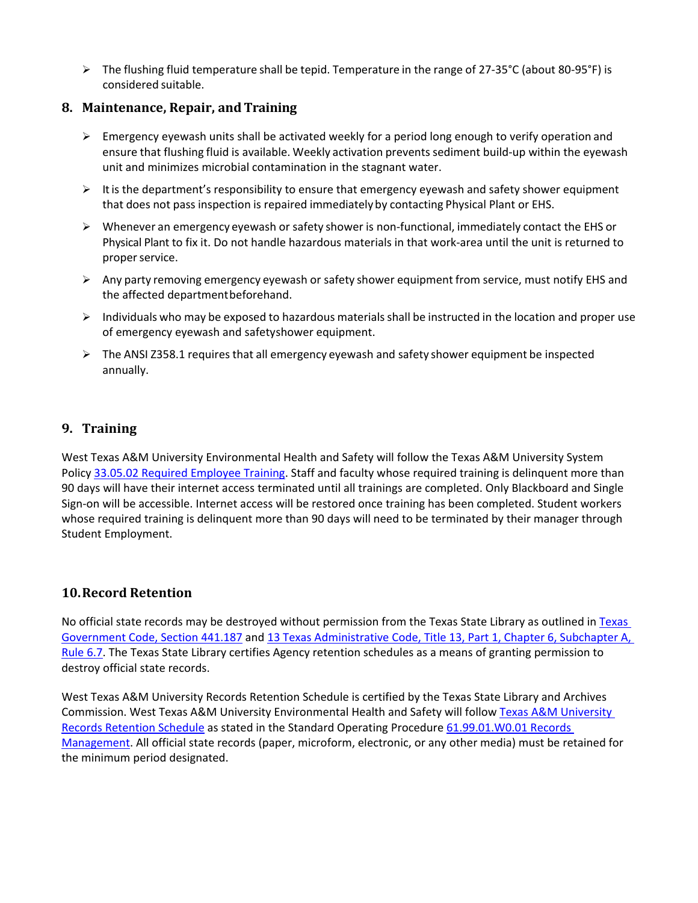The flushing fluid temperature shall be tepid. Temperature in the range of 27-35°C (about 80-95°F) is considered suitable.

## <span id="page-9-0"></span>**8. Maintenance, Repair, andTraining**

- $\triangleright$  Emergency eyewash units shall be activated weekly for a period long enough to verify operation and ensure that flushing fluid is available. Weekly activation prevents sediment build-up within the eyewash unit and minimizes microbial contamination in the stagnant water.
- $\triangleright$  It is the department's responsibility to ensure that emergency eyewash and safety shower equipment that does not pass inspection is repaired immediately by contacting Physical Plant or EHS.
- $\triangleright$  Whenever an emergency eyewash or safety shower is non-functional, immediately contact the EHS or Physical Plant to fix it. Do not handle hazardous materials in that work-area until the unit is returned to proper service.
- $\triangleright$  Any party removing emergency eyewash or safety shower equipment from service, must notify EHS and the affected departmentbeforehand.
- $\triangleright$  Individuals who may be exposed to hazardous materials shall be instructed in the location and proper use of emergency eyewash and safetyshower equipment.
- $\triangleright$  The ANSI Z358.1 requires that all emergency eyewash and safety shower equipment be inspected annually.

## <span id="page-9-1"></span>**9. Training**

West Texas A&M University Environmental Health and Safety will follow the Texas A&M University System Polic[y 33.05.02 Required Employee Training.](http://policies.tamus.edu/33-05-02.pdf) Staff and faculty whose required training is delinquent more than 90 days will have their internet access terminated until all trainings are completed. Only Blackboard and Single Sign-on will be accessible. Internet access will be restored once training has been completed. Student workers whose required training is delinquent more than 90 days will need to be terminated by their manager through Student Employment.

## <span id="page-9-2"></span>**10.Record Retention**

No official state records may be destroyed without permission from the Texas State Library as outlined in [Texas](http://www.statutes.legis.state.tx.us/?link=GV)  [Government Code, Section 441.187](http://www.statutes.legis.state.tx.us/?link=GV) an[d 13 Texas Administrative Code, Title 13, Part 1, Chapter 6,](http://txrules.elaws.us/rule/title13_chapter6_sec.6.7) Subchapter A, [Rule 6.7.](http://txrules.elaws.us/rule/title13_chapter6_sec.6.7) The Texas State Library certifies Agency retention schedules as a means of granting permission to destroy official state records.

West Texas A&M University Records Retention Schedule is certified by the Texas State Library and Archives Commission. West Texas A&M University Environmental Health and Safety will follo[w Texas A&M](http://txrules.elaws.us/rule/title13_chapter6_sec.6.7) University [Records Retention Schedule](http://txrules.elaws.us/rule/title13_chapter6_sec.6.7) as stated in the Standard Operating Procedure [61.99.01.W0.01 Records](http://www.wtamu.edu/webres/File/Risk%20Management/61.99.01.W0.01_PROCEDURE_Records%20Management_FINAL%20SIGNED.pdf)  [Management.](http://www.wtamu.edu/webres/File/Risk%20Management/61.99.01.W0.01_PROCEDURE_Records%20Management_FINAL%20SIGNED.pdf) All official state records (paper, microform, electronic, or any other media) must be retained for the minimum period designated.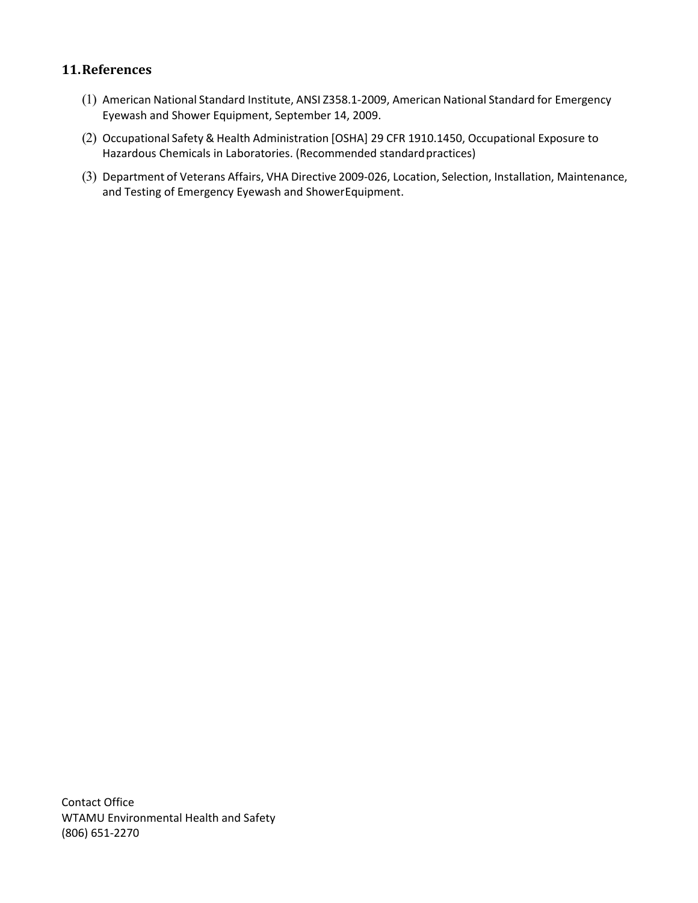## <span id="page-10-0"></span>**11.References**

- (1) American National Standard Institute, ANSI Z358.1-2009, American National Standard for Emergency Eyewash and Shower Equipment, September 14, 2009.
- (2) Occupational Safety & Health Administration [OSHA] 29 CFR 1910.1450, Occupational Exposure to Hazardous Chemicals in Laboratories. (Recommended standard practices)
- (3) Department of Veterans Affairs, VHA Directive 2009-026, Location, Selection, Installation, Maintenance, and Testing of Emergency Eyewash and ShowerEquipment.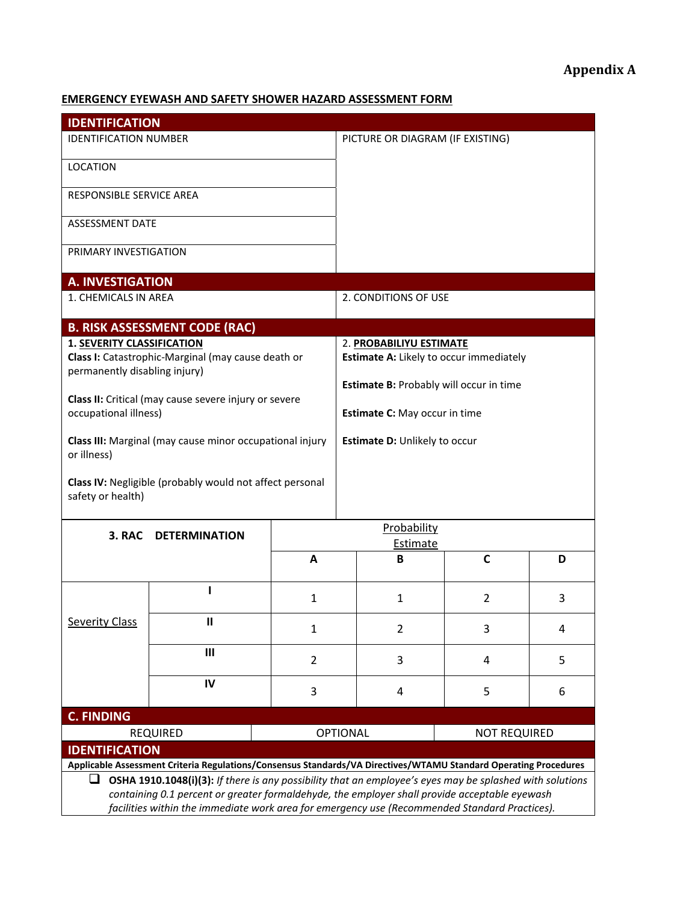## <span id="page-11-1"></span><span id="page-11-0"></span>**EMERGENCY EYEWASH AND SAFETY SHOWER HAZARD ASSESSMENT FORM**

<span id="page-11-2"></span>

| <b>IDENTIFICATION</b>                                                                                            |                                                          |                |                                         |                                         |                     |   |  |  |
|------------------------------------------------------------------------------------------------------------------|----------------------------------------------------------|----------------|-----------------------------------------|-----------------------------------------|---------------------|---|--|--|
| <b>IDENTIFICATION NUMBER</b>                                                                                     |                                                          |                | PICTURE OR DIAGRAM (IF EXISTING)        |                                         |                     |   |  |  |
| <b>LOCATION</b>                                                                                                  |                                                          |                |                                         |                                         |                     |   |  |  |
| RESPONSIBLE SERVICE AREA                                                                                         |                                                          |                |                                         |                                         |                     |   |  |  |
| ASSESSMENT DATE                                                                                                  |                                                          |                |                                         |                                         |                     |   |  |  |
| PRIMARY INVESTIGATION                                                                                            |                                                          |                |                                         |                                         |                     |   |  |  |
| <b>A. INVESTIGATION</b>                                                                                          |                                                          |                |                                         |                                         |                     |   |  |  |
| 1. CHEMICALS IN AREA                                                                                             |                                                          |                |                                         | 2. CONDITIONS OF USE                    |                     |   |  |  |
|                                                                                                                  | <b>B. RISK ASSESSMENT CODE (RAC)</b>                     |                |                                         |                                         |                     |   |  |  |
| 1. SEVERITY CLASSIFICATION                                                                                       |                                                          |                |                                         | 2. PROBABILIYU ESTIMATE                 |                     |   |  |  |
|                                                                                                                  | Class I: Catastrophic-Marginal (may cause death or       |                |                                         | Estimate A: Likely to occur immediately |                     |   |  |  |
| permanently disabling injury)                                                                                    |                                                          |                | Estimate B: Probably will occur in time |                                         |                     |   |  |  |
|                                                                                                                  | Class II: Critical (may cause severe injury or severe    |                |                                         |                                         |                     |   |  |  |
| occupational illness)                                                                                            |                                                          |                | Estimate C: May occur in time           |                                         |                     |   |  |  |
| or illness)                                                                                                      | Class III: Marginal (may cause minor occupational injury |                |                                         | Estimate D: Unlikely to occur           |                     |   |  |  |
| Class IV: Negligible (probably would not affect personal<br>safety or health)                                    |                                                          |                |                                         |                                         |                     |   |  |  |
| 3. RAC                                                                                                           |                                                          |                |                                         | Probability                             |                     |   |  |  |
|                                                                                                                  | <b>DETERMINATION</b>                                     |                | Estimate                                |                                         |                     |   |  |  |
|                                                                                                                  |                                                          | A              |                                         | B                                       | C                   | D |  |  |
|                                                                                                                  |                                                          | $\mathbf{1}$   |                                         | $\mathbf{1}$                            | 2                   | 3 |  |  |
| <b>Severity Class</b>                                                                                            | Ш                                                        | $\mathbf{1}$   |                                         | $\overline{2}$                          | 3                   | 4 |  |  |
|                                                                                                                  | $\mathbf{III}$                                           | $\overline{2}$ | 3                                       |                                         | 4                   | 5 |  |  |
|                                                                                                                  | IV                                                       | 3              |                                         | 4                                       | 5                   | 6 |  |  |
| <b>C. FINDING</b>                                                                                                |                                                          |                |                                         |                                         |                     |   |  |  |
| <b>REQUIRED</b><br><b>OPTIONAL</b>                                                                               |                                                          |                |                                         |                                         | <b>NOT REQUIRED</b> |   |  |  |
| <b>IDENTIFICATION</b>                                                                                            |                                                          |                |                                         |                                         |                     |   |  |  |
| Applicable Assessment Criteria Regulations/Consensus Standards/VA Directives/WTAMU Standard Operating Procedures |                                                          |                |                                         |                                         |                     |   |  |  |
| OSHA 1910.1048(i)(3): If there is any possibility that an employee's eyes may be splashed with solutions<br>ப    |                                                          |                |                                         |                                         |                     |   |  |  |
| containing 0.1 percent or greater formaldehyde, the employer shall provide acceptable eyewash                    |                                                          |                |                                         |                                         |                     |   |  |  |
| facilities within the immediate work area for emergency use (Recommended Standard Practices).                    |                                                          |                |                                         |                                         |                     |   |  |  |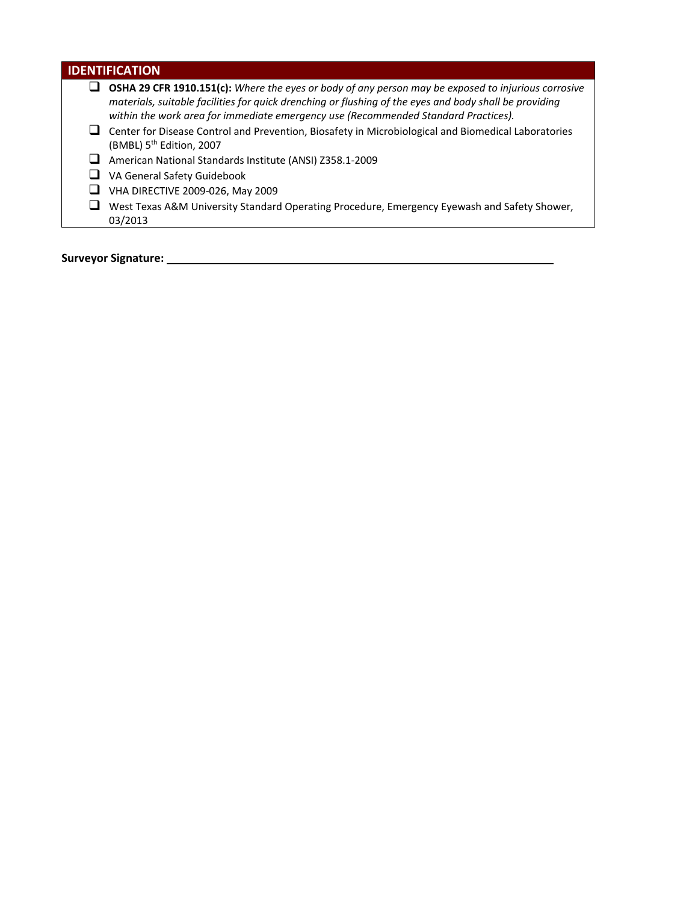| <b>IDENTIFICATION</b>                                                                                                                                                                                                                                                                               |  |  |  |  |  |  |  |
|-----------------------------------------------------------------------------------------------------------------------------------------------------------------------------------------------------------------------------------------------------------------------------------------------------|--|--|--|--|--|--|--|
| OSHA 29 CFR 1910.151(c): Where the eyes or body of any person may be exposed to injurious corrosive<br>materials, suitable facilities for quick drenching or flushing of the eyes and body shall be providing<br>within the work area for immediate emergency use (Recommended Standard Practices). |  |  |  |  |  |  |  |
| Center for Disease Control and Prevention, Biosafety in Microbiological and Biomedical Laboratories<br>(BMBL) 5 <sup>th</sup> Edition, 2007                                                                                                                                                         |  |  |  |  |  |  |  |
| American National Standards Institute (ANSI) Z358.1-2009                                                                                                                                                                                                                                            |  |  |  |  |  |  |  |
| VA General Safety Guidebook                                                                                                                                                                                                                                                                         |  |  |  |  |  |  |  |
| VHA DIRECTIVE 2009-026, May 2009                                                                                                                                                                                                                                                                    |  |  |  |  |  |  |  |
| West Texas A&M University Standard Operating Procedure, Emergency Eyewash and Safety Shower,<br>03/2013                                                                                                                                                                                             |  |  |  |  |  |  |  |
| <b>Surveyor Signature:</b>                                                                                                                                                                                                                                                                          |  |  |  |  |  |  |  |